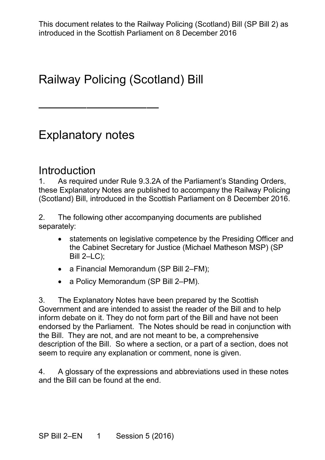## Railway Policing (Scotland) Bill

### Explanatory notes

——————————

# **Introduction**<br>1 As required

 1. As required under Rule 9.3.2A of the Parliament's Standing Orders, (Scotland) Bill, introduced in the Scottish Parliament on 8 December 2016. these Explanatory Notes are published to accompany the Railway Policing

 $2.$ The following other accompanying documents are published separately:

- the Cabinet Secretary for Justice (Michael Matheson MSP) (SP • statements on legislative competence by the Presiding Officer and Bill 2–LC);
- a Financial Memorandum (SP Bill 2–FM);
- a Policy Memorandum (SP Bill 2–PM).

 Government and are intended to assist the reader of the Bill and to help inform debate on it. They do not form part of the Bill and have not been endorsed by the Parliament. The Notes should be read in conjunction with the Bill. They are not, and are not meant to be, a comprehensive description of the Bill. So where a section, or a part of a section, does not 3. The Explanatory Notes have been prepared by the Scottish seem to require any explanation or comment, none is given.

 and the Bill can be found at the end. 4. A glossary of the expressions and abbreviations used in these notes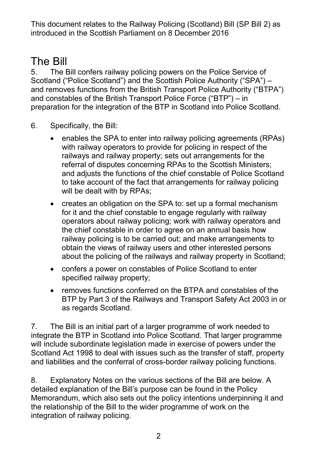## The Bill

 5. The Bill confers railway policing powers on the Police Service of and removes functions from the British Transport Police Authority ("BTPA") Scotland ("Police Scotland") and the Scottish Police Authority ("SPA") – and constables of the British Transport Police Force ("BTP") – in preparation for the integration of the BTP in Scotland into Police Scotland.

- 6. Specifically, the Bill:
	- and adjusts the functions of the chief constable of Police Scotland • enables the SPA to enter into railway policing agreements (RPAs) with railway operators to provide for policing in respect of the railways and railway property; sets out arrangements for the referral of disputes concerning RPAs to the Scottish Ministers; to take account of the fact that arrangements for railway policing will be dealt with by RPAs;
	- for it and the chief constable to engage regularly with railway the chief constable in order to agree on an annual basis how railway policing is to be carried out; and make arrangements to • creates an obligation on the SPA to: set up a formal mechanism operators about railway policing; work with railway operators and obtain the views of railway users and other interested persons about the policing of the railways and railway property in Scotland;
	- • confers a power on constables of Police Scotland to enter specified railway property;
	- • removes functions conferred on the BTPA and constables of the BTP by Part 3 of the Railways and Transport Safety Act 2003 in or as regards Scotland.

 will include subordinate legislation made in exercise of powers under the Scotland Act 1998 to deal with issues such as the transfer of staff, property and liabilities and the conferral of cross-border railway policing functions. 7. The Bill is an initial part of a larger programme of work needed to integrate the BTP in Scotland into Police Scotland. That larger programme

 detailed explanation of the Bill's purpose can be found in the Policy Memorandum, which also sets out the policy intentions underpinning it and the relationship of the Bill to the wider programme of work on the 8. Explanatory Notes on the various sections of the Bill are below. A integration of railway policing.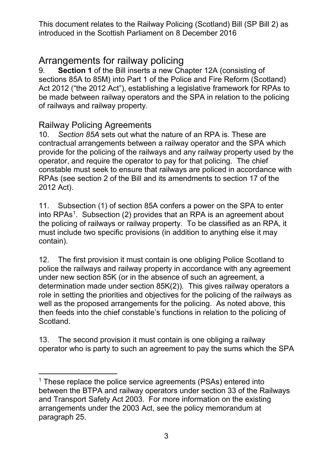# Arrangements for railway policing<br>9. Section 1 of the Bill inserts a new Ch

 Act 2012 ("the 2012 Act"), establishing a legislative framework for RPAs to **Section 1** of the Bill inserts a new Chapter 12A (consisting of sections 85A to 85M) into Part 1 of the Police and Fire Reform (Scotland) be made between railway operators and the SPA in relation to the policing of railways and railway property.

#### Railway Policing Agreements

 10. *Section 85A* sets out what the nature of an RPA is. These are operator, and require the operator to pay for that policing. The chief constable must seek to ensure that railways are policed in accordance with RPAs (see section 2 of the Bill and its amendments to section 17 of the 2012 Act). contractual arrangements between a railway operator and the SPA which provide for the policing of the railways and any railway property used by the

2012 Act).<br>11. Subsection (1) of section 85A confers a power on the SPA to enter into RPAs<sup>[1](#page-2-0)</sup>. Subsection (2) provides that an RPA is an agreement about the policing of railways or railway property. To be classified as an RPA, it must include two specific provisions (in addition to anything else it may contain).

 determination made under section 85K(2))*.* This gives railway operators a role in setting the priorities and objectives for the policing of the railways as well as the proposed arrangements for the policing. As noted above, this then feeds into the chief constable's functions in relation to the policing of Scotland. 12. The first provision it must contain is one obliging Police Scotland to police the railways and railway property in accordance with any agreement under new section 85K (or in the absence of such an agreement, a

 operator who is party to such an agreement to pay the sums which the SPA 13. The second provision it must contain is one obliging a railway

<span id="page-2-0"></span><sup>-</sup> arrangements under the 2003 Act, see the policy memorandum at  $1$  These replace the police service agreements (PSAs) entered into between the BTPA and railway operators under section 33 of the Railways and Transport Safety Act 2003. For more information on the existing paragraph 25.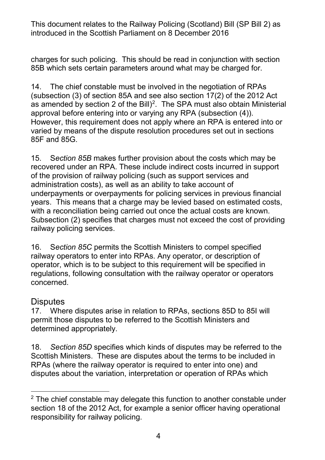charges for such policing. This should be read in conjunction with section 85B which sets certain parameters around what may be charged for.

 (subsection (3) of section 85A and see also section 17(2) of the 2012 Act as amended by section [2](#page-3-0) of the Bill)<sup>2</sup>. The SPA must also obtain Ministerial approval before entering into or varying any RPA (subsection (4)). However, this requirement does not apply where an RPA is entered into or 14. The chief constable must be involved in the negotiation of RPAs varied by means of the dispute resolution procedures set out in sections 85F and 85G.

 recovered under an RPA. These include indirect costs incurred in support of the provision of railway policing (such as support services and administration costs), as well as an ability to take account of with a reconciliation being carried out once the actual costs are known. railway policing services. 15. S*ection 85B* makes further provision about the costs which may be underpayments or overpayments for policing services in previous financial years. This means that a charge may be levied based on estimated costs, Subsection (2) specifies that charges must not exceed the cost of providing

 16. S*ection 85C* permits the Scottish Ministers to compel specified railway operators to enter into RPAs. Any operator, or description of operator, which is to be subject to this requirement will be specified in regulations, following consultation with the railway operator or operators concerned.

#### **Disputes**

 17. Where disputes arise in relation to RPAs, sections 85D to 85I will permit those disputes to be referred to the Scottish Ministers and determined appropriately.

determined appropriately.<br>18. *Section 85D* specifies which kinds of disputes may be referred to the Scottish Ministers. These are disputes about the terms to be included in RPAs (where the railway operator is required to enter into one) and disputes about the variation, interpretation or operation of RPAs which

<span id="page-3-0"></span><sup>-</sup> $2$  The chief constable may delegate this function to another constable under section 18 of the 2012 Act, for example a senior officer having operational responsibility for railway policing.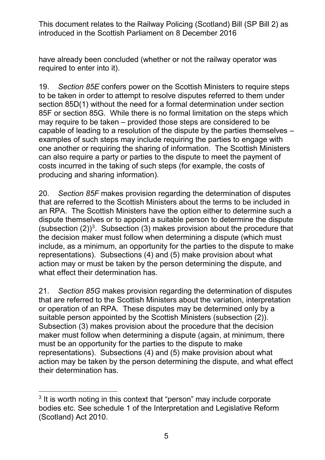required to enter into it). have already been concluded (whether or not the railway operator was

 19. *Section 85E* confers power on the Scottish Ministers to require steps to be taken in order to attempt to resolve disputes referred to them under 85F or section 85G. While there is no formal limitation on the steps which may require to be taken – provided those steps are considered to be capable of leading to a resolution of the dispute by the parties themselves – one another or requiring the sharing of information. The Scottish Ministers can also require a party or parties to the dispute to meet the payment of section 85D(1) without the need for a formal determination under section examples of such steps may include requiring the parties to engage with costs incurred in the taking of such steps (for example, the costs of producing and sharing information).

 that are referred to the Scottish Ministers about the terms to be included in include, as a minimum, an opportunity for the parties to the dispute to make representations). Subsections (4) and (5) make provision about what 20. *Section 85F* makes provision regarding the determination of disputes an RPA. The Scottish Ministers have the option either to determine such a dispute themselves or to appoint a suitable person to determine the dispute (subsection  $(2)$ )<sup>[3](#page-4-0)</sup>. Subsection (3) makes provision about the procedure that the decision maker must follow when determining a dispute (which must action may or must be taken by the person determining the dispute, and what effect their determination has.

 that are referred to the Scottish Ministers about the variation, interpretation or operation of an RPA. These disputes may be determined only by a suitable person appointed by the Scottish Ministers (subsection (2)). suitable person appointed by the Scottish Ministers (subsection (2)).<br>Subsection (3) makes provision about the procedure that the decision maker must follow when determining a dispute (again, at minimum, there must be an opportunity for the parties to the dispute to make representations). Subsections (4) and (5) make provision about what 21. *Section 85G* makes provision regarding the determination of disputes action may be taken by the person determining the dispute, and what effect their determination has.

<span id="page-4-0"></span><sup>-</sup> $^3$  It is worth noting in this context that "person" may include corporate bodies etc. See schedule 1 of the Interpretation and Legislative Reform (Scotland) Act 2010.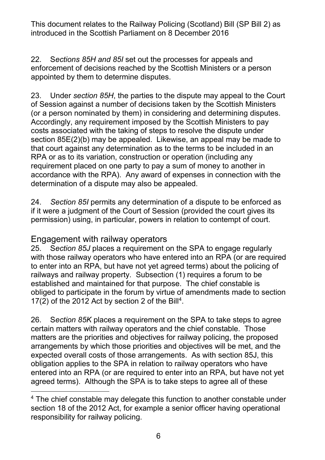appointed by them to determine disputes. 22. S*ections 85H and 85I* set out the processes for appeals and enforcement of decisions reached by the Scottish Ministers or a person

 (or a person nominated by them) in considering and determining disputes. costs associated with the taking of steps to resolve the dispute under section 85E(2)(b) may be appealed. Likewise, an appeal may be made to that court against any determination as to the terms to be included in an accordance with the RPA). Any award of expenses in connection with the 23. Under *section 85H*, the parties to the dispute may appeal to the Court of Session against a number of decisions taken by the Scottish Ministers Accordingly, any requirement imposed by the Scottish Ministers to pay RPA or as to its variation, construction or operation (including any requirement placed on one party to pay a sum of money to another in determination of a dispute may also be appealed.

 24. *Section 85I* permits any determination of a dispute to be enforced as permission) using, in particular, powers in relation to contempt of court. if it were a judgment of the Court of Session (provided the court gives its

#### Engagement with railway operators

 25. S*ection 85J* places a requirement on the SPA to engage regularly to enter into an RPA, but have not yet agreed terms) about the policing of railways and railway property. Subsection (1) requires a forum to be established and maintained for that purpose. The chief constable is obliged to participate in the forum by virtue of amendments made to section 17(2) of the 2012 Act by section 2 of the Bill<sup>4</sup>. with those railway operators who have entered into an RPA (or are required

 26. S*ection 85K* places a requirement on the SPA to take steps to agree certain matters with railway operators and the chief constable. Those arrangements by which those priorities and objectives will be met, and the expected overall costs of those arrangements. As with section 85J, this agreed terms). Although the SPA is to take steps to agree all of these matters are the priorities and objectives for railway policing, the proposed obligation applies to the SPA in relation to railway operators who have entered into an RPA (or are required to enter into an RPA, but have not yet 17(2) of the 2012 Act by section 2 of the Bill<sup>[4](#page-5-0)</sup>.<br>
26. Section 85K places a requirement on the SPA to take steps to agree<br>
certain matters with railway operators and the chief constable. Those<br>
matters are the priorities

<span id="page-5-0"></span>section 18 of the 2012 Act, for example a senior officer having operational responsibility for railway policing.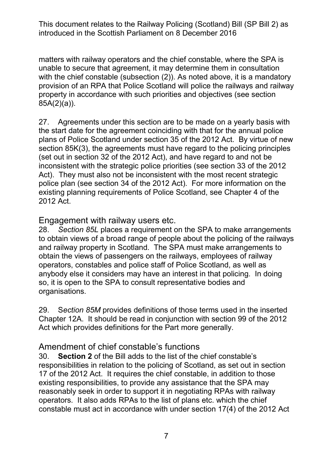matters with railway operators and the chief constable, where the SPA is with the chief constable (subsection (2)). As noted above, it is a mandatory property in accordance with such priorities and objectives (see section unable to secure that agreement, it may determine them in consultation provision of an RPA that Police Scotland will police the railways and railway 85A(2)(a)).

 27. Agreements under this section are to be made on a yearly basis with the start date for the agreement coinciding with that for the annual police plans of Police Scotland under section 35 of the 2012 Act. By virtue of new section 85K(3), the agreements must have regard to the policing principles (set out in section 32 of the 2012 Act), and have regard to and not be inconsistent with the strategic police priorities (see section 33 of the 2012 Act). They must also not be inconsistent with the most recent strategic police plan (see section 34 of the 2012 Act). For more information on the existing planning requirements of Police Scotland, see Chapter 4 of the 2012 Act.

Engagement with railway users etc.

 to obtain views of a broad range of people about the policing of the railways and railway property in Scotland. The SPA must make arrangements to obtain the views of passengers on the railways, employees of railway operators, constables and police staff of Police Scotland, as well as anybody else it considers may have an interest in that policing. In doing so, it is open to the SPA to consult representative bodies and 28. *Section 85L* places a requirement on the SPA to make arrangements organisations.

 Chapter 12A. It should be read in conjunction with section 99 of the 2012 Act which provides definitions for the Part more generally. 29. S*ection 85M* provides definitions of those terms used in the inserted

#### Amendment of chief constable's functions

 30. **Section 2** of the Bill adds to the list of the chief constable's responsibilities in relation to the policing of Scotland, as set out in section 17 of the 2012 Act. It requires the chief constable, in addition to those existing responsibilities, to provide any assistance that the SPA may reasonably seek in order to support it in negotiating RPAs with railway operators. It also adds RPAs to the list of plans etc. which the chief constable must act in accordance with under section 17(4) of the 2012 Act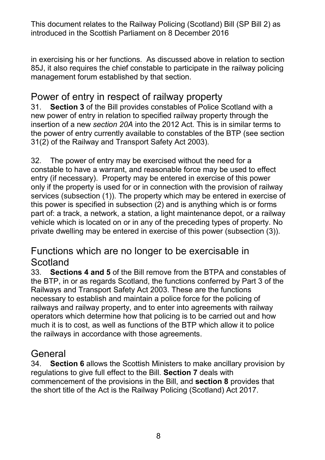in exercising his or her functions. As discussed above in relation to section 85J, it also requires the chief constable to participate in the railway policing management forum established by that section.

### Power of entry in respect of railway property

 insertion of a new *section 20A* into the 2012 Act. This is in similar terms to the power of entry currently available to constables of the BTP (see section 31. **Section 3** of the Bill provides constables of Police Scotland with a new power of entry in relation to specified railway property through the 31(2) of the Railway and Transport Safety Act 2003).

 32. The power of entry may be exercised without the need for a constable to have a warrant, and reasonable force may be used to effect entry (if necessary). Property may be entered in exercise of this power part of: a track, a network, a station, a light maintenance depot, or a railway only if the property is used for or in connection with the provision of railway services (subsection (1)). The property which may be entered in exercise of this power is specified in subsection (2) and is anything which is or forms vehicle which is located on or in any of the preceding types of property. No private dwelling may be entered in exercise of this power (subsection (3)).

### Functions which are no longer to be exercisable in **Scotland**

 33. **Sections 4 and 5** of the Bill remove from the BTPA and constables of Railways and Transport Safety Act 2003. These are the functions necessary to establish and maintain a police force for the policing of operators which determine how that policing is to be carried out and how the railways in accordance with those agreements. the BTP, in or as regards Scotland, the functions conferred by Part 3 of the railways and railway property, and to enter into agreements with railway much it is to cost, as well as functions of the BTP which allow it to police

## General<br>34. Sect

 regulations to give full effect to the Bill. **Section 7** deals with commencement of the provisions in the Bill, and **section 8** provides that **Section 6** allows the Scottish Ministers to make ancillary provision by the short title of the Act is the Railway Policing (Scotland) Act 2017.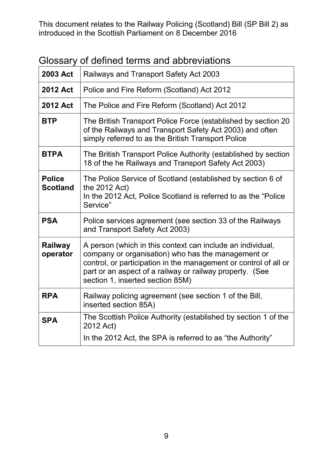| <b>2003 Act</b>                  | Railways and Transport Safety Act 2003                                                                                                                                                                                                                                               |
|----------------------------------|--------------------------------------------------------------------------------------------------------------------------------------------------------------------------------------------------------------------------------------------------------------------------------------|
| <b>2012 Act</b>                  | Police and Fire Reform (Scotland) Act 2012                                                                                                                                                                                                                                           |
| <b>2012 Act</b>                  | The Police and Fire Reform (Scotland) Act 2012                                                                                                                                                                                                                                       |
| <b>BTP</b>                       | The British Transport Police Force (established by section 20<br>of the Railways and Transport Safety Act 2003) and often<br>simply referred to as the British Transport Police                                                                                                      |
| <b>BTPA</b>                      | The British Transport Police Authority (established by section<br>18 of the he Railways and Transport Safety Act 2003)                                                                                                                                                               |
| <b>Police</b><br><b>Scotland</b> | The Police Service of Scotland (established by section 6 of<br>the 2012 Act)<br>In the 2012 Act, Police Scotland is referred to as the "Police"<br>Service"                                                                                                                          |
| <b>PSA</b>                       | Police services agreement (see section 33 of the Railways<br>and Transport Safety Act 2003)                                                                                                                                                                                          |
| Railway<br>operator              | A person (which in this context can include an individual,<br>company or organisation) who has the management or<br>control, or participation in the management or control of all or<br>part or an aspect of a railway or railway property. (See<br>section 1, inserted section 85M) |
| <b>RPA</b>                       | Railway policing agreement (see section 1 of the Bill,<br>inserted section 85A)                                                                                                                                                                                                      |
| <b>SPA</b>                       | The Scottish Police Authority (established by section 1 of the<br>2012 Act)<br>In the 2012 Act, the SPA is referred to as "the Authority"                                                                                                                                            |

Glossary of defined terms and abbreviations